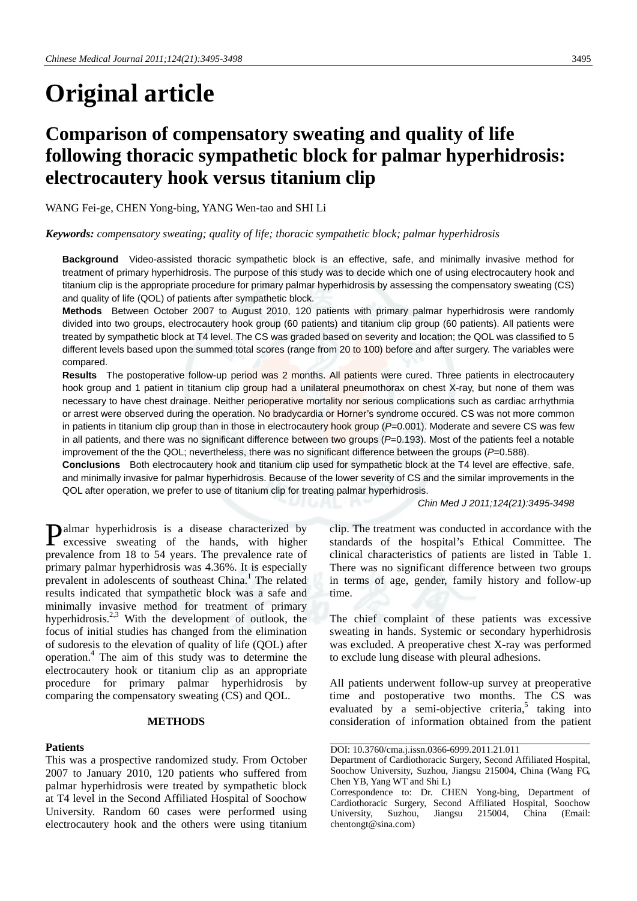# **Original article**

# **Comparison of compensatory sweating and quality of life following thoracic sympathetic block for palmar hyperhidrosis: electrocautery hook versus titanium clip**

WANG Fei-ge, CHEN Yong-bing, YANG Wen-tao and SHI Li

*Keywords: compensatory sweating; quality of life; thoracic sympathetic block; palmar hyperhidrosis* 

**Background** Video-assisted thoracic sympathetic block is an effective, safe, and minimally invasive method for treatment of primary hyperhidrosis. The purpose of this study was to decide which one of using electrocautery hook and titanium clip is the appropriate procedure for primary palmar hyperhidrosis by assessing the compensatory sweating (CS) and quality of life (QOL) of patients after sympathetic block.

**Methods** Between October 2007 to August 2010, 120 patients with primary palmar hyperhidrosis were randomly divided into two groups, electrocautery hook group (60 patients) and titanium clip group (60 patients). All patients were treated by sympathetic block at T4 level. The CS was graded based on severity and location; the QOL was classified to 5 different levels based upon the summed total scores (range from 20 to 100) before and after surgery. The variables were compared.

**Results** The postoperative follow-up period was 2 months. All patients were cured. Three patients in electrocautery hook group and 1 patient in titanium clip group had a unilateral pneumothorax on chest X-ray, but none of them was necessary to have chest drainage. Neither perioperative mortality nor serious complications such as cardiac arrhythmia or arrest were observed during the operation. No bradycardia or Horner's syndrome occured. CS was not more common in patients in titanium clip group than in those in electrocautery hook group (*P*=0.001). Moderate and severe CS was few in all patients, and there was no significant difference between two groups (*P*=0.193). Most of the patients feel a notable improvement of the the QOL; nevertheless, there was no significant difference between the groups (*P*=0.588).

**Conclusions** Both electrocautery hook and titanium clip used for sympathetic block at the T4 level are effective, safe, and minimally invasive for palmar hyperhidrosis. Because of the lower severity of CS and the similar improvements in the QOL after operation, we prefer to use of titanium clip for treating palmar hyperhidrosis.

*Chin Med J 2011;124(21):3495-3498*

Palmar hyperhidrosis is a disease characterized by excessive sweating of the hands, with higher excessive sweating of the hands, with higher prevalence from 18 to 54 years. The prevalence rate of primary palmar hyperhidrosis was 4.36%. It is especially prevalent in adolescents of southeast China.<sup>1</sup> The related results indicated that sympathetic block was a safe and minimally invasive method for treatment of primary hyperhidrosis.<sup>2,3</sup> With the development of outlook, the focus of initial studies has changed from the elimination of sudoresis to the elevation of quality of life (QOL) after operation.4 The aim of this study was to determine the electrocautery hook or titanium clip as an appropriate procedure for primary palmar hyperhidrosis by comparing the compensatory sweating (CS) and QOL.

#### **METHODS**

#### **Patients**

This was a prospective randomized study. From October 2007 to January 2010, 120 patients who suffered from palmar hyperhidrosis were treated by sympathetic block at T4 level in the Second Affiliated Hospital of Soochow University. Random 60 cases were performed using electrocautery hook and the others were using titanium clip. The treatment was conducted in accordance with the standards of the hospital's Ethical Committee. The clinical characteristics of patients are listed in Table 1. There was no significant difference between two groups in terms of age, gender, family history and follow-up time.

The chief complaint of these patients was excessive sweating in hands. Systemic or secondary hyperhidrosis was excluded. A preoperative chest X-ray was performed to exclude lung disease with pleural adhesions.

All patients underwent follow-up survey at preoperative time and postoperative two months. The CS was evaluated by a semi-objective criteria, $5$  taking into consideration of information obtained from the patient

DOI: 10.3760/cma.j.issn.0366-6999.2011.21.011

Department of Cardiothoracic Surgery, Second Affiliated Hospital, Soochow University, Suzhou, Jiangsu 215004, China (Wang FG, Chen YB, Yang WT and Shi L)

Correspondence to: Dr. CHEN Yong-bing, Department of Cardiothoracic Surgery, Second Affiliated Hospital, Soochow University, Suzhou, Jiangsu 215004, China (Email: chentongt@sina.com)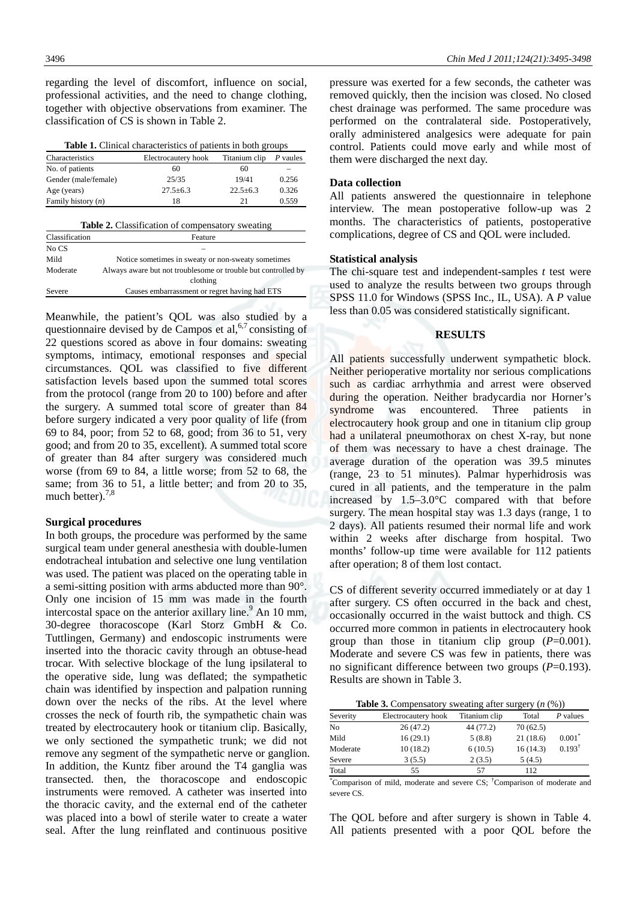regarding the level of discomfort, influence on social, professional activities, and the need to change clothing, together with objective observations from examiner. The classification of CS is shown in Table 2.

| Characteristics                                         |                                                               | Electrocautery hook | Titanium clip  | P vaules |  |
|---------------------------------------------------------|---------------------------------------------------------------|---------------------|----------------|----------|--|
| No. of patients                                         |                                                               | 60                  | 60             |          |  |
| Gender (male/female)                                    |                                                               | 25/35               | 19/41          | 0.256    |  |
| Age (years)                                             |                                                               | $27.5 + 6.3$        | $22.5 \pm 6.3$ | 0.326    |  |
| Family history $(n)$                                    |                                                               | 18                  | 21             | 0.559    |  |
| Classification                                          | Feature                                                       |                     |                |          |  |
| <b>Table 2.</b> Classification of compensatory sweating |                                                               |                     |                |          |  |
| No CS                                                   |                                                               |                     |                |          |  |
| Mild                                                    | Notice sometimes in sweaty or non-sweaty sometimes            |                     |                |          |  |
| Moderate                                                | Always aware but not troublesome or trouble but controlled by |                     |                |          |  |
|                                                         |                                                               | clothing            |                |          |  |
| Severe                                                  | Causes embarrassment or regret having had ETS                 |                     |                |          |  |

| <b>Table 1.</b> Clinical characteristics of patients in both groups |  |  |  |
|---------------------------------------------------------------------|--|--|--|
|                                                                     |  |  |  |

Meanwhile, the patient's QOL was also studied by a questionnaire devised by de Campos et al,  $6,7$  consisting of 22 questions scored as above in four domains: sweating symptoms, intimacy, emotional responses and special circumstances. QOL was classified to five different satisfaction levels based upon the summed total scores from the protocol (range from 20 to 100) before and after the surgery. A summed total score of greater than 84 before surgery indicated a very poor quality of life (from 69 to 84, poor; from 52 to 68, good; from 36 to 51, very good; and from 20 to 35, excellent). A summed total score of greater than 84 after surgery was considered much worse (from 69 to 84, a little worse; from 52 to 68, the same; from 36 to 51, a little better; and from 20 to 35, much better). $7,8$ 

### **Surgical procedures**

In both groups, the procedure was performed by the same surgical team under general anesthesia with double-lumen endotracheal intubation and selective one lung ventilation was used. The patient was placed on the operating table in a semi-sitting position with arms abducted more than 90°. Only one incision of 15 mm was made in the fourth intercostal space on the anterior axillary line.<sup>9</sup> An 10 mm, 30-degree thoracoscope (Karl Storz GmbH & Co. Tuttlingen, Germany) and endoscopic instruments were inserted into the thoracic cavity through an obtuse-head trocar. With selective blockage of the lung ipsilateral to the operative side, lung was deflated; the sympathetic chain was identified by inspection and palpation running down over the necks of the ribs. At the level where crosses the neck of fourth rib, the sympathetic chain was treated by electrocautery hook or titanium clip. Basically, we only sectioned the sympathetic trunk; we did not remove any segment of the sympathetic nerve or ganglion. In addition, the Kuntz fiber around the T4 ganglia was transected. then, the thoracoscope and endoscopic instruments were removed. A catheter was inserted into the thoracic cavity, and the external end of the catheter was placed into a bowl of sterile water to create a water seal. After the lung reinflated and continuous positive

pressure was exerted for a few seconds, the catheter was removed quickly, then the incision was closed. No closed chest drainage was performed. The same procedure was performed on the contralateral side. Postoperatively, orally administered analgesics were adequate for pain control. Patients could move early and while most of them were discharged the next day.

#### **Data collection**

All patients answered the questionnaire in telephone interview. The mean postoperative follow-up was 2 months. The characteristics of patients, postoperative complications, degree of CS and QOL were included.

#### **Statistical analysis**

The chi-square test and independent-samples *t* test were used to analyze the results between two groups through SPSS 11.0 for Windows (SPSS Inc., IL, USA). A *P* value less than 0.05 was considered statistically significant.

## **RESULTS**

All patients successfully underwent sympathetic block. Neither perioperative mortality nor serious complications such as cardiac arrhythmia and arrest were observed during the operation. Neither bradycardia nor Horner's syndrome was encountered. Three patients in electrocautery hook group and one in titanium clip group had a unilateral pneumothorax on chest X-ray, but none of them was necessary to have a chest drainage. The average duration of the operation was 39.5 minutes (range, 23 to 51 minutes). Palmar hyperhidrosis was cured in all patients, and the temperature in the palm increased by 1.5–3.0°C compared with that before surgery. The mean hospital stay was 1.3 days (range, 1 to 2 days). All patients resumed their normal life and work within 2 weeks after discharge from hospital. Two months' follow-up time were available for 112 patients after operation; 8 of them lost contact.

CS of different severity occurred immediately or at day 1 after surgery. CS often occurred in the back and chest, occasionally occurred in the waist buttock and thigh. CS occurred more common in patients in electrocautery hook group than those in titanium clip group  $(P=0.001)$ . Moderate and severe CS was few in patients, there was no significant difference between two groups (*P*=0.193). Results are shown in Table 3.

**Table 3.** Compensatory sweating after surgery (*n* (%))

| Severity       | Electrocautery hook | Titanium clip | Total    | P values          |
|----------------|---------------------|---------------|----------|-------------------|
| N <sub>0</sub> | 26(47.2)            | 44 (77.2)     | 70(62.5) |                   |
| Mild           | 16(29.1)            | 5(8.8)        | 21(18.6) | $0.001*$          |
| Moderate       | 10(18.2)            | 6(10.5)       | 16(14.3) | $0.193^{\dagger}$ |
| Severe         | 3(5.5)              | 2(3.5)        | 5(4.5)   |                   |
| Total          | 55                  | 57            | 112      |                   |

\* Comparison of mild, moderate and severe CS; † Comparison of moderate and severe CS.

The QOL before and after surgery is shown in Table 4. All patients presented with a poor QOL before the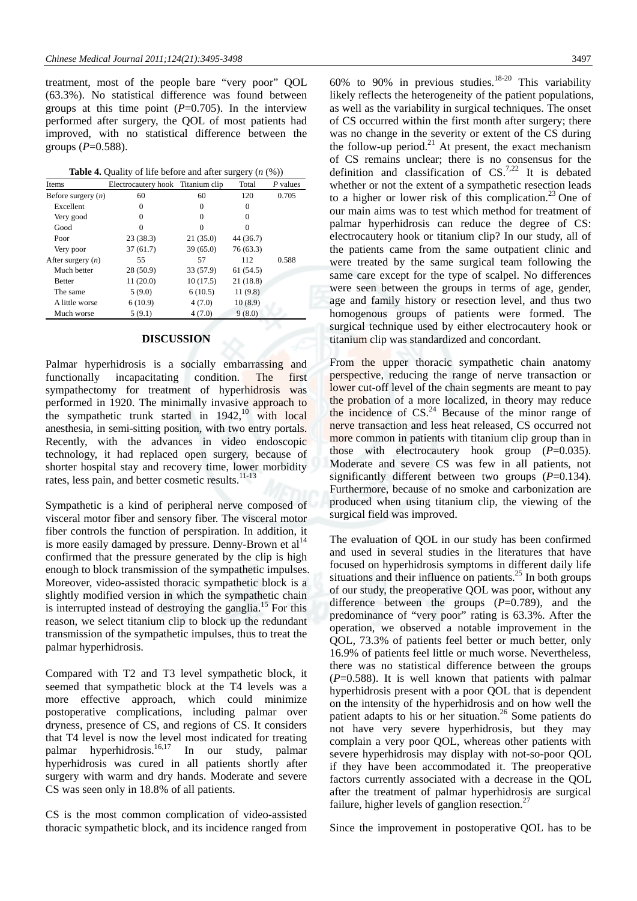treatment, most of the people bare "very poor" QOL (63.3%). No statistical difference was found between groups at this time point  $(P=0.705)$ . In the interview performed after surgery, the QOL of most patients had improved, with no statistical difference between the groups  $(P=0.588)$ .

| Items                | Electrocautery hook Titanium clip |           | Total     | P values |
|----------------------|-----------------------------------|-----------|-----------|----------|
| Before surgery $(n)$ | 60                                | 60        | 120       | 0.705    |
| Excellent            | 0                                 | $\Omega$  | $\Omega$  |          |
| Very good            | $\Omega$                          | $\Omega$  | $\Omega$  |          |
| Good                 | $\Omega$                          | $\Omega$  | $\Omega$  |          |
| Poor                 | 23(38.3)                          | 21(35.0)  | 44 (36.7) |          |
| Very poor            | 37(61.7)                          | 39(65.0)  | 76 (63.3) |          |
| After surgery $(n)$  | 55                                | 57        | 112       | 0.588    |
| Much better          | 28 (50.9)                         | 33 (57.9) | 61(54.5)  |          |
| <b>Better</b>        | 11(20.0)                          | 10(17.5)  | 21 (18.8) |          |
| The same             | 5(9.0)                            | 6(10.5)   | 11(9.8)   |          |
| A little worse       | 6(10.9)                           | 4(7.0)    | 10(8.9)   |          |
| Much worse           | 5(9.1)                            | 4(7.0)    | 9(8.0)    |          |

# **DISCUSSION**

Palmar hyperhidrosis is a socially embarrassing and functionally incapacitating condition. The first sympathectomy for treatment of hyperhidrosis was performed in 1920. The minimally invasive approach to the sympathetic trunk started in  $1942$ ,<sup>10</sup> with local anesthesia, in semi-sitting position, with two entry portals. Recently, with the advances in video endoscopic technology, it had replaced open surgery, because of shorter hospital stay and recovery time, lower morbidity rates, less pain, and better cosmetic results.<sup>11-13</sup>

Sympathetic is a kind of peripheral nerve composed of visceral motor fiber and sensory fiber. The visceral motor fiber controls the function of perspiration. In addition, it is more easily damaged by pressure. Denny-Brown et  $al<sup>14</sup>$ confirmed that the pressure generated by the clip is high enough to block transmission of the sympathetic impulses. Moreover, video-assisted thoracic sympathetic block is a slightly modified version in which the sympathetic chain is interrupted instead of destroying the ganglia.<sup>15</sup> For this reason, we select titanium clip to block up the redundant transmission of the sympathetic impulses, thus to treat the palmar hyperhidrosis.

Compared with T2 and T3 level sympathetic block, it seemed that sympathetic block at the T4 levels was a more effective approach, which could minimize postoperative complications, including palmar over dryness, presence of CS, and regions of CS. It considers that T4 level is now the level most indicated for treating palmar hyperhidrosis. $\frac{16,17}{10}$  In our study, palmar hyperhidrosis was cured in all patients shortly after surgery with warm and dry hands. Moderate and severe CS was seen only in 18.8% of all patients.

CS is the most common complication of video-assisted thoracic sympathetic block, and its incidence ranged from

60% to 90% in previous studies.<sup>18-20</sup> This variability likely reflects the heterogeneity of the patient populations, as well as the variability in surgical techniques. The onset of CS occurred within the first month after surgery; there was no change in the severity or extent of the CS during the follow-up period.<sup>21</sup> At present, the exact mechanism of CS remains unclear; there is no consensus for the definition and classification of  $CS$ .<sup>7,22</sup> It is debated whether or not the extent of a sympathetic resection leads to a higher or lower risk of this complication.<sup>23</sup> One of our main aims was to test which method for treatment of palmar hyperhidrosis can reduce the degree of CS: electrocautery hook or titanium clip? In our study, all of the patients came from the same outpatient clinic and were treated by the same surgical team following the same care except for the type of scalpel. No differences were seen between the groups in terms of age, gender, age and family history or resection level, and thus two homogenous groups of patients were formed. The surgical technique used by either electrocautery hook or titanium clip was standardized and concordant.

From the upper thoracic sympathetic chain anatomy perspective, reducing the range of nerve transaction or lower cut-off level of the chain segments are meant to pay the probation of a more localized, in theory may reduce the incidence of  $CS<sup>24</sup>$  Because of the minor range of nerve transaction and less heat released, CS occurred not more common in patients with titanium clip group than in those with electrocautery hook group (*P*=0.035). Moderate and severe CS was few in all patients, not significantly different between two groups (*P*=0.134). Furthermore, because of no smoke and carbonization are produced when using titanium clip, the viewing of the surgical field was improved.

The evaluation of QOL in our study has been confirmed and used in several studies in the literatures that have focused on hyperhidrosis symptoms in different daily life situations and their influence on patients. $^{25}$  In both groups of our study, the preoperative QOL was poor, without any difference between the groups (*P*=0.789), and the predominance of "very poor" rating is 63.3%. After the operation, we observed a notable improvement in the QOL, 73.3% of patients feel better or much better, only 16.9% of patients feel little or much worse. Nevertheless, there was no statistical difference between the groups (*P*=0.588). It is well known that patients with palmar hyperhidrosis present with a poor QOL that is dependent on the intensity of the hyperhidrosis and on how well the patient adapts to his or her situation.<sup>26</sup> Some patients do not have very severe hyperhidrosis, but they may complain a very poor QOL, whereas other patients with severe hyperhidrosis may display with not-so-poor QOL if they have been accommodated it. The preoperative factors currently associated with a decrease in the QOL after the treatment of palmar hyperhidrosis are surgical failure, higher levels of ganglion resection.<sup>27</sup>

Since the improvement in postoperative QOL has to be